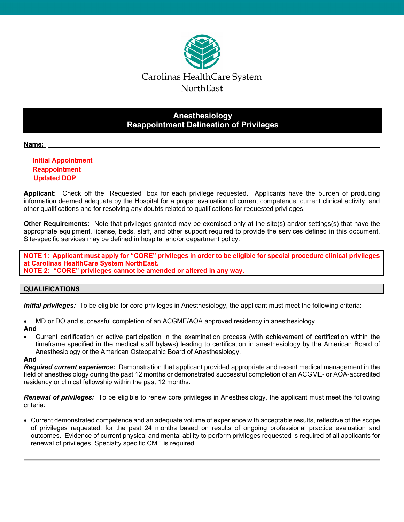

# **Anesthesiology Reappointment Delineation of Privileges**

## **Name:**

## **Initial Appointment Reappointment Updated DOP**

**Applicant:** Check off the "Requested" box for each privilege requested. Applicants have the burden of producing information deemed adequate by the Hospital for a proper evaluation of current competence, current clinical activity, and other qualifications and for resolving any doubts related to qualifications for requested privileges.

**Other Requirements:** Note that privileges granted may be exercised only at the site(s) and/or settings(s) that have the appropriate equipment, license, beds, staff, and other support required to provide the services defined in this document. Site-specific services may be defined in hospital and/or department policy.

**NOTE 1: Applicant must apply for "CORE" privileges in order to be eligible for special procedure clinical privileges at Carolinas HealthCare System NorthEast. NOTE 2: "CORE" privileges cannot be amended or altered in any way.** 

## **QUALIFICATIONS**

*Initial privileges:* To be eligible for core privileges in Anesthesiology, the applicant must meet the following criteria:

MD or DO and successful completion of an ACGME/AOA approved residency in anesthesiology

## **And**

 Current certification or active participation in the examination process (with achievement of certification within the timeframe specified in the medical staff bylaws) leading to certification in anesthesiology by the American Board of Anesthesiology or the American Osteopathic Board of Anesthesiology.

## **And**

*Required current experience:* Demonstration that applicant provided appropriate and recent medical management in the field of anesthesiology during the past 12 months or demonstrated successful completion of an ACGME- or AOA-accredited residency or clinical fellowship within the past 12 months.

*Renewal of privileges:* To be eligible to renew core privileges in Anesthesiology, the applicant must meet the following criteria:

 Current demonstrated competence and an adequate volume of experience with acceptable results, reflective of the scope of privileges requested, for the past 24 months based on results of ongoing professional practice evaluation and outcomes. Evidence of current physical and mental ability to perform privileges requested is required of all applicants for renewal of privileges. Specialty specific CME is required.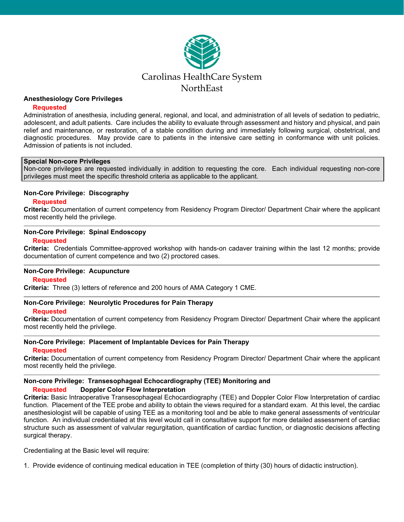

## **Anesthesiology Core Privileges**

## **Requested**

Administration of anesthesia, including general, regional, and local, and administration of all levels of sedation to pediatric, adolescent, and adult patients. Care includes the ability to evaluate through assessment and history and physical, and pain relief and maintenance, or restoration, of a stable condition during and immediately following surgical, obstetrical, and diagnostic procedures. May provide care to patients in the intensive care setting in conformance with unit policies. Admission of patients is not included.

#### **Special Non-core Privileges**

Non-core privileges are requested individually in addition to requesting the core. Each individual requesting non-core privileges must meet the specific threshold criteria as applicable to the applicant.

#### **Non-Core Privilege: Discography**

#### **Requested**

**Criteria:** Documentation of current competency from Residency Program Director/ Department Chair where the applicant most recently held the privilege.

#### **Non-Core Privilege: Spinal Endoscopy**

#### **Requested**

**Criteria:** Credentials Committee-approved workshop with hands-on cadaver training within the last 12 months; provide documentation of current competence and two (2) proctored cases.

## **Non-Core Privilege: Acupuncture**

#### **Requested**

**Criteria:** Three (3) letters of reference and 200 hours of AMA Category 1 CME.

## **Non-Core Privilege: Neurolytic Procedures for Pain Therapy**

#### **Requested**

**Criteria:** Documentation of current competency from Residency Program Director/ Department Chair where the applicant most recently held the privilege.

## **Non-Core Privilege: Placement of Implantable Devices for Pain Therapy**

## **Requested**

**Criteria:** Documentation of current competency from Residency Program Director/ Department Chair where the applicant most recently held the privilege.

## **Non-core Privilege: Transesophageal Echocardiography (TEE) Monitoring and**

## **Requested Doppler Color Flow Interpretation**

**Criteria:** Basic Intraoperative Transesophageal Echocardiography (TEE) and Doppler Color Flow Interpretation of cardiac function. Placement of the TEE probe and ability to obtain the views required for a standard exam. At this level, the cardiac anesthesiologist will be capable of using TEE as a monitoring tool and be able to make general assessments of ventricular function. An individual credentialed at this level would call in consultative support for more detailed assessment of cardiac structure such as assessment of valvular regurgitation, quantification of cardiac function, or diagnostic decisions affecting surgical therapy.

Credentialing at the Basic level will require:

1. Provide evidence of continuing medical education in TEE (completion of thirty (30) hours of didactic instruction).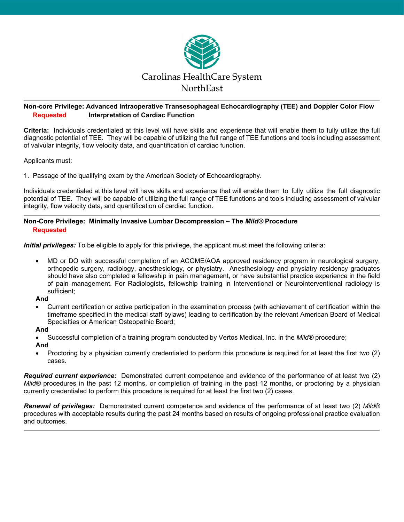

## **Non-core Privilege: Advanced Intraoperative Transesophageal Echocardiography (TEE) and Doppler Color Flow Requested Interpretation of Cardiac Function**

**Criteria:** Individuals credentialed at this level will have skills and experience that will enable them to fully utilize the full diagnostic potential of TEE. They will be capable of utilizing the full range of TEE functions and tools including assessment of valvular integrity, flow velocity data, and quantification of cardiac function.

Applicants must:

1. Passage of the qualifying exam by the American Society of Echocardiography.

Individuals credentialed at this level will have skills and experience that will enable them to fully utilize the full diagnostic potential of TEE. They will be capable of utilizing the full range of TEE functions and tools including assessment of valvular integrity, flow velocity data, and quantification of cardiac function.

## **Non-Core Privilege: Minimally Invasive Lumbar Decompression – The** *Mild®* **Procedure Requested**

*Initial privileges:* To be eligible to apply for this privilege, the applicant must meet the following criteria:

 MD or DO with successful completion of an ACGME/AOA approved residency program in neurological surgery, orthopedic surgery, radiology, anesthesiology, or physiatry. Anesthesiology and physiatry residency graduates should have also completed a fellowship in pain management, or have substantial practice experience in the field of pain management. For Radiologists, fellowship training in Interventional or Neurointerventional radiology is sufficient;

## **And**

 Current certification or active participation in the examination process (with achievement of certification within the timeframe specified in the medical staff bylaws) leading to certification by the relevant American Board of Medical Specialties or American Osteopathic Board;

## **And**

Successful completion of a training program conducted by Vertos Medical, Inc. in the *Mild®* procedure;

**And** 

 Proctoring by a physician currently credentialed to perform this procedure is required for at least the first two (2) cases.

*Required current experience:* Demonstrated current competence and evidence of the performance of at least two (2) *Mild®* procedures in the past 12 months, or completion of training in the past 12 months, or proctoring by a physician currently credentialed to perform this procedure is required for at least the first two (2) cases.

*Renewal of privileges:* Demonstrated current competence and evidence of the performance of at least two (2) *Mild®*  procedures with acceptable results during the past 24 months based on results of ongoing professional practice evaluation and outcomes.